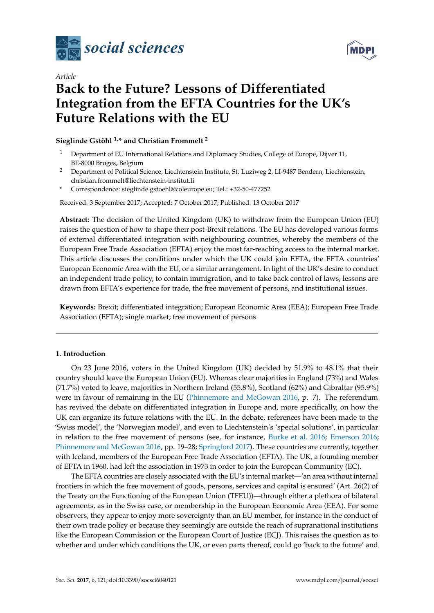



# *Article* **Back to the Future? Lessons of Differentiated Integration from the EFTA Countries for the UK's Future Relations with the EU**

# **Sieglinde Gstöhl 1,\* and Christian Frommelt <sup>2</sup>**

- <sup>1</sup> Department of EU International Relations and Diplomacy Studies, College of Europe, Dijver 11, BE-8000 Bruges, Belgium
- <sup>2</sup> Department of Political Science, Liechtenstein Institute, St. Luziweg 2, LI-9487 Bendern, Liechtenstein; christian.frommelt@liechtenstein-institut.li
- **\*** Correspondence: sieglinde.gstoehl@coleurope.eu; Tel.: +32-50-477252

Received: 3 September 2017; Accepted: 7 October 2017; Published: 13 October 2017

**Abstract:** The decision of the United Kingdom (UK) to withdraw from the European Union (EU) raises the question of how to shape their post-Brexit relations. The EU has developed various forms of external differentiated integration with neighbouring countries, whereby the members of the European Free Trade Association (EFTA) enjoy the most far-reaching access to the internal market. This article discusses the conditions under which the UK could join EFTA, the EFTA countries' European Economic Area with the EU, or a similar arrangement. In light of the UK's desire to conduct an independent trade policy, to contain immigration, and to take back control of laws, lessons are drawn from EFTA's experience for trade, the free movement of persons, and institutional issues.

**Keywords:** Brexit; differentiated integration; European Economic Area (EEA); European Free Trade Association (EFTA); single market; free movement of persons

# **1. Introduction**

On 23 June 2016, voters in the United Kingdom (UK) decided by 51.9% to 48.1% that their country should leave the European Union (EU). Whereas clear majorities in England (73%) and Wales (71.7%) voted to leave, majorities in Northern Ireland (55.8%), Scotland (62%) and Gibraltar (95.9%) were in favour of remaining in the EU [\(Phinnemore and McGowan](#page-15-0) [2016,](#page-15-0) p. 7). The referendum has revived the debate on differentiated integration in Europe and, more specifically, on how the UK can organize its future relations with the EU. In the debate, references have been made to the 'Swiss model', the 'Norwegian model', and even to Liechtenstein's 'special solutions', in particular in relation to the free movement of persons (see, for instance, [Burke et al.](#page-13-0) [2016;](#page-13-0) [Emerson](#page-14-0) [2016;](#page-14-0) [Phinnemore and McGowan](#page-15-0) [2016,](#page-15-0) pp. 19–28; [Springford](#page-15-1) [2017\)](#page-15-1). These countries are currently, together with Iceland, members of the European Free Trade Association (EFTA). The UK, a founding member of EFTA in 1960, had left the association in 1973 in order to join the European Community (EC).

The EFTA countries are closely associated with the EU's internal market—'an area without internal frontiers in which the free movement of goods, persons, services and capital is ensured' (Art. 26(2) of the Treaty on the Functioning of the European Union (TFEU))—through either a plethora of bilateral agreements, as in the Swiss case, or membership in the European Economic Area (EEA). For some observers, they appear to enjoy more sovereignty than an EU member, for instance in the conduct of their own trade policy or because they seemingly are outside the reach of supranational institutions like the European Commission or the European Court of Justice (ECJ). This raises the question as to whether and under which conditions the UK, or even parts thereof, could go 'back to the future' and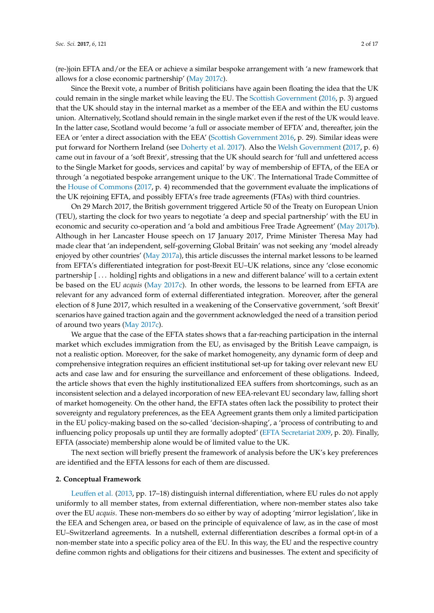(re-)join EFTA and/or the EEA or achieve a similar bespoke arrangement with 'a new framework that allows for a close economic partnership' [\(May](#page-15-2) [2017c\)](#page-15-2).

Since the Brexit vote, a number of British politicians have again been floating the idea that the UK could remain in the single market while leaving the EU. The [Scottish Government](#page-15-3) [\(2016,](#page-15-3) p. 3) argued that the UK should stay in the internal market as a member of the EEA and within the EU customs union. Alternatively, Scotland should remain in the single market even if the rest of the UK would leave. In the latter case, Scotland would become 'a full or associate member of EFTA' and, thereafter, join the EEA or 'enter a direct association with the EEA' [\(Scottish Government](#page-15-3) [2016,](#page-15-3) p. 29). Similar ideas were put forward for Northern Ireland (see [Doherty et al.](#page-14-1) [2017\)](#page-14-1). Also the [Welsh Government](#page-16-0) [\(2017,](#page-16-0) p. 6) came out in favour of a 'soft Brexit', stressing that the UK should search for 'full and unfettered access to the Single Market for goods, services and capital' by way of membership of EFTA, of the EEA or through 'a negotiated bespoke arrangement unique to the UK'. The International Trade Committee of the [House of Commons](#page-15-4) [\(2017,](#page-15-4) p. 4) recommended that the government evaluate the implications of the UK rejoining EFTA, and possibly EFTA's free trade agreements (FTAs) with third countries.

On 29 March 2017, the British government triggered Article 50 of the Treaty on European Union (TEU), starting the clock for two years to negotiate 'a deep and special partnership' with the EU in economic and security co-operation and 'a bold and ambitious Free Trade Agreement' [\(May](#page-15-5) [2017b\)](#page-15-5). Although in her Lancaster House speech on 17 January 2017, Prime Minister Theresa May had made clear that 'an independent, self-governing Global Britain' was not seeking any 'model already enjoyed by other countries' [\(May](#page-15-6) [2017a\)](#page-15-6), this article discusses the internal market lessons to be learned from EFTA's differentiated integration for post-Brexit EU–UK relations, since any 'close economic partnership [ . . . holding] rights and obligations in a new and different balance' will to a certain extent be based on the EU *acquis* [\(May](#page-15-2) [2017c\)](#page-15-2). In other words, the lessons to be learned from EFTA are relevant for any advanced form of external differentiated integration. Moreover, after the general election of 8 June 2017, which resulted in a weakening of the Conservative government, 'soft Brexit' scenarios have gained traction again and the government acknowledged the need of a transition period of around two years [\(May](#page-15-2) [2017c\)](#page-15-2).

We argue that the case of the EFTA states shows that a far-reaching participation in the internal market which excludes immigration from the EU, as envisaged by the British Leave campaign, is not a realistic option. Moreover, for the sake of market homogeneity, any dynamic form of deep and comprehensive integration requires an efficient institutional set-up for taking over relevant new EU acts and case law and for ensuring the surveillance and enforcement of these obligations. Indeed, the article shows that even the highly institutionalized EEA suffers from shortcomings, such as an inconsistent selection and a delayed incorporation of new EEA-relevant EU secondary law, falling short of market homogeneity. On the other hand, the EFTA states often lack the possibility to protect their sovereignty and regulatory preferences, as the EEA Agreement grants them only a limited participation in the EU policy-making based on the so-called 'decision-shaping', a 'process of contributing to and influencing policy proposals up until they are formally adopted' [\(EFTA Secretariat](#page-14-2) [2009,](#page-14-2) p. 20). Finally, EFTA (associate) membership alone would be of limited value to the UK.

The next section will briefly present the framework of analysis before the UK's key preferences are identified and the EFTA lessons for each of them are discussed.

#### **2. Conceptual Framework**

[Leuffen et al.](#page-15-7) [\(2013,](#page-15-7) pp. 17–18) distinguish internal differentiation, where EU rules do not apply uniformly to all member states, from external differentiation, where non-member states also take over the EU *acquis*. These non-members do so either by way of adopting 'mirror legislation', like in the EEA and Schengen area, or based on the principle of equivalence of law, as in the case of most EU–Switzerland agreements. In a nutshell, external differentiation describes a formal opt-in of a non-member state into a specific policy area of the EU. In this way, the EU and the respective country define common rights and obligations for their citizens and businesses. The extent and specificity of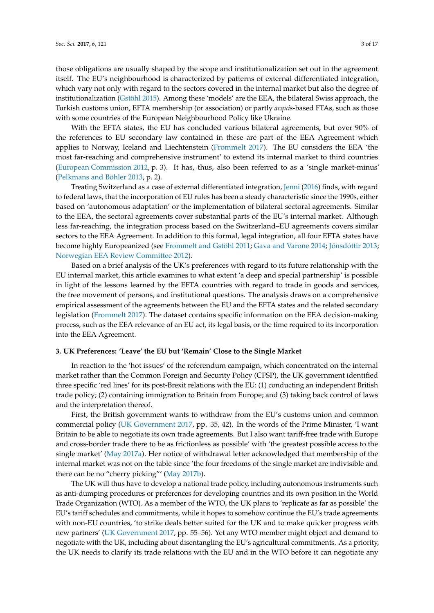those obligations are usually shaped by the scope and institutionalization set out in the agreement itself. The EU's neighbourhood is characterized by patterns of external differentiated integration, which vary not only with regard to the sectors covered in the internal market but also the degree of institutionalization [\(Gstöhl](#page-15-8) [2015\)](#page-15-8). Among these 'models' are the EEA, the bilateral Swiss approach, the Turkish customs union, EFTA membership (or association) or partly *acquis*-based FTAs, such as those with some countries of the European Neighbourhood Policy like Ukraine.

With the EFTA states, the EU has concluded various bilateral agreements, but over 90% of the references to EU secondary law contained in these are part of the EEA Agreement which applies to Norway, Iceland and Liechtenstein [\(Frommelt](#page-14-3) [2017\)](#page-14-3). The EU considers the EEA 'the most far-reaching and comprehensive instrument' to extend its internal market to third countries [\(European Commission](#page-14-4) [2012,](#page-14-4) p. 3). It has, thus, also been referred to as a 'single market-minus' [\(Pelkmans and Böhler](#page-15-9) [2013,](#page-15-9) p. 2).

Treating Switzerland as a case of external differentiated integration, [Jenni](#page-15-10) [\(2016\)](#page-15-10) finds, with regard to federal laws, that the incorporation of EU rules has been a steady characteristic since the 1990s, either based on 'autonomous adaptation' or the implementation of bilateral sectoral agreements. Similar to the EEA, the sectoral agreements cover substantial parts of the EU's internal market. Although less far-reaching, the integration process based on the Switzerland–EU agreements covers similar sectors to the EEA Agreement. In addition to this formal, legal integration, all four EFTA states have become highly Europeanized (see [Frommelt and Gstöhl](#page-14-5) [2011;](#page-14-5) [Gava and Varone](#page-15-11) [2014;](#page-15-11) Jó[nsd](#page-15-12)óttir [2013;](#page-15-12) [Norwegian EEA Review Committee](#page-15-13) [2012\)](#page-15-13).

Based on a brief analysis of the UK's preferences with regard to its future relationship with the EU internal market, this article examines to what extent 'a deep and special partnership' is possible in light of the lessons learned by the EFTA countries with regard to trade in goods and services, the free movement of persons, and institutional questions. The analysis draws on a comprehensive empirical assessment of the agreements between the EU and the EFTA states and the related secondary legislation [\(Frommelt](#page-14-3) [2017\)](#page-14-3). The dataset contains specific information on the EEA decision-making process, such as the EEA relevance of an EU act, its legal basis, or the time required to its incorporation into the EEA Agreement.

## **3. UK Preferences: 'Leave' the EU but 'Remain' Close to the Single Market**

In reaction to the 'hot issues' of the referendum campaign, which concentrated on the internal market rather than the Common Foreign and Security Policy (CFSP), the UK government identified three specific 'red lines' for its post-Brexit relations with the EU: (1) conducting an independent British trade policy; (2) containing immigration to Britain from Europe; and (3) taking back control of laws and the interpretation thereof.

First, the British government wants to withdraw from the EU's customs union and common commercial policy [\(UK Government](#page-16-1) [2017,](#page-16-1) pp. 35, 42). In the words of the Prime Minister, 'I want Britain to be able to negotiate its own trade agreements. But I also want tariff-free trade with Europe and cross-border trade there to be as frictionless as possible' with 'the greatest possible access to the single market' [\(May](#page-15-6) [2017a\)](#page-15-6). Her notice of withdrawal letter acknowledged that membership of the internal market was not on the table since 'the four freedoms of the single market are indivisible and there can be no "cherry picking"' [\(May](#page-15-5) [2017b\)](#page-15-5).

The UK will thus have to develop a national trade policy, including autonomous instruments such as anti-dumping procedures or preferences for developing countries and its own position in the World Trade Organization (WTO). As a member of the WTO, the UK plans to 'replicate as far as possible' the EU's tariff schedules and commitments, while it hopes to somehow continue the EU's trade agreements with non-EU countries, 'to strike deals better suited for the UK and to make quicker progress with new partners' [\(UK Government](#page-16-1) [2017,](#page-16-1) pp. 55–56). Yet any WTO member might object and demand to negotiate with the UK, including about disentangling the EU's agricultural commitments. As a priority, the UK needs to clarify its trade relations with the EU and in the WTO before it can negotiate any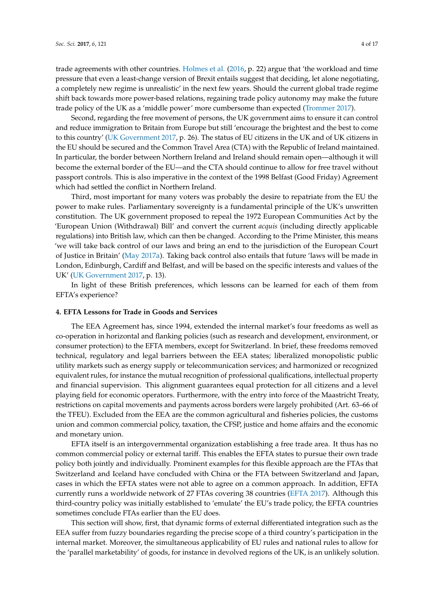trade agreements with other countries. [Holmes et al.](#page-15-14) [\(2016,](#page-15-14) p. 22) argue that 'the workload and time pressure that even a least-change version of Brexit entails suggest that deciding, let alone negotiating, a completely new regime is unrealistic' in the next few years. Should the current global trade regime shift back towards more power-based relations, regaining trade policy autonomy may make the future trade policy of the UK as a 'middle power' more cumbersome than expected [\(Trommer](#page-16-2) [2017\)](#page-16-2).

Second, regarding the free movement of persons, the UK government aims to ensure it can control and reduce immigration to Britain from Europe but still 'encourage the brightest and the best to come to this country' [\(UK Government](#page-16-1) [2017,](#page-16-1) p. 26). The status of EU citizens in the UK and of UK citizens in the EU should be secured and the Common Travel Area (CTA) with the Republic of Ireland maintained. In particular, the border between Northern Ireland and Ireland should remain open—although it will become the external border of the EU—and the CTA should continue to allow for free travel without passport controls. This is also imperative in the context of the 1998 Belfast (Good Friday) Agreement which had settled the conflict in Northern Ireland.

Third, most important for many voters was probably the desire to repatriate from the EU the power to make rules. Parliamentary sovereignty is a fundamental principle of the UK's unwritten constitution. The UK government proposed to repeal the 1972 European Communities Act by the 'European Union (Withdrawal) Bill' and convert the current *acquis* (including directly applicable regulations) into British law, which can then be changed. According to the Prime Minister, this means 'we will take back control of our laws and bring an end to the jurisdiction of the European Court of Justice in Britain' [\(May](#page-15-6) [2017a\)](#page-15-6). Taking back control also entails that future 'laws will be made in London, Edinburgh, Cardiff and Belfast, and will be based on the specific interests and values of the UK' [\(UK Government](#page-16-1) [2017,](#page-16-1) p. 13).

In light of these British preferences, which lessons can be learned for each of them from EFTA's experience?

#### **4. EFTA Lessons for Trade in Goods and Services**

The EEA Agreement has, since 1994, extended the internal market's four freedoms as well as co-operation in horizontal and flanking policies (such as research and development, environment, or consumer protection) to the EFTA members, except for Switzerland. In brief, these freedoms removed technical, regulatory and legal barriers between the EEA states; liberalized monopolistic public utility markets such as energy supply or telecommunication services; and harmonized or recognized equivalent rules, for instance the mutual recognition of professional qualifications, intellectual property and financial supervision. This alignment guarantees equal protection for all citizens and a level playing field for economic operators. Furthermore, with the entry into force of the Maastricht Treaty, restrictions on capital movements and payments across borders were largely prohibited (Art. 63–66 of the TFEU). Excluded from the EEA are the common agricultural and fisheries policies, the customs union and common commercial policy, taxation, the CFSP, justice and home affairs and the economic and monetary union.

EFTA itself is an intergovernmental organization establishing a free trade area. It thus has no common commercial policy or external tariff. This enables the EFTA states to pursue their own trade policy both jointly and individually. Prominent examples for this flexible approach are the FTAs that Switzerland and Iceland have concluded with China or the FTA between Switzerland and Japan, cases in which the EFTA states were not able to agree on a common approach. In addition, EFTA currently runs a worldwide network of 27 FTAs covering 38 countries [\(EFTA](#page-14-6) [2017\)](#page-14-6). Although this third-country policy was initially established to 'emulate' the EU's trade policy, the EFTA countries sometimes conclude FTAs earlier than the EU does.

This section will show, first, that dynamic forms of external differentiated integration such as the EEA suffer from fuzzy boundaries regarding the precise scope of a third country's participation in the internal market. Moreover, the simultaneous applicability of EU rules and national rules to allow for the 'parallel marketability' of goods, for instance in devolved regions of the UK, is an unlikely solution.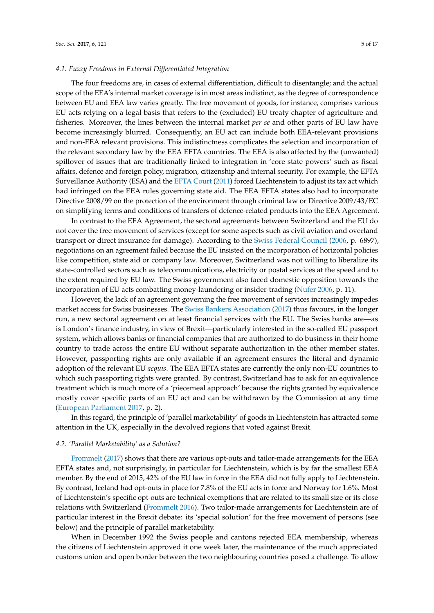The four freedoms are, in cases of external differentiation, difficult to disentangle; and the actual scope of the EEA's internal market coverage is in most areas indistinct, as the degree of correspondence between EU and EEA law varies greatly. The free movement of goods, for instance, comprises various EU acts relying on a legal basis that refers to the (excluded) EU treaty chapter of agriculture and fisheries. Moreover, the lines between the internal market *per se* and other parts of EU law have become increasingly blurred. Consequently, an EU act can include both EEA-relevant provisions and non-EEA relevant provisions. This indistinctness complicates the selection and incorporation of the relevant secondary law by the EEA EFTA countries. The EEA is also affected by the (unwanted) spillover of issues that are traditionally linked to integration in 'core state powers' such as fiscal affairs, defence and foreign policy, migration, citizenship and internal security. For example, the EFTA Surveillance Authority (ESA) and the [EFTA Court](#page-14-7) [\(2011\)](#page-14-7) forced Liechtenstein to adjust its tax act which had infringed on the EEA rules governing state aid. The EEA EFTA states also had to incorporate Directive 2008/99 on the protection of the environment through criminal law or Directive 2009/43/EC on simplifying terms and conditions of transfers of defence-related products into the EEA Agreement.

In contrast to the EEA Agreement, the sectoral agreements between Switzerland and the EU do not cover the free movement of services (except for some aspects such as civil aviation and overland transport or direct insurance for damage). According to the [Swiss Federal Council](#page-16-3) [\(2006,](#page-16-3) p. 6897), negotiations on an agreement failed because the EU insisted on the incorporation of horizontal policies like competition, state aid or company law. Moreover, Switzerland was not willing to liberalize its state-controlled sectors such as telecommunications, electricity or postal services at the speed and to the extent required by EU law. The Swiss government also faced domestic opposition towards the incorporation of EU acts combatting money-laundering or insider-trading [\(Nufer](#page-15-15) [2006,](#page-15-15) p. 11).

However, the lack of an agreement governing the free movement of services increasingly impedes market access for Swiss businesses. The [Swiss Bankers Association](#page-15-16) [\(2017\)](#page-15-16) thus favours, in the longer run, a new sectoral agreement on at least financial services with the EU. The Swiss banks are—as is London's finance industry, in view of Brexit—particularly interested in the so-called EU passport system, which allows banks or financial companies that are authorized to do business in their home country to trade across the entire EU without separate authorization in the other member states. However, passporting rights are only available if an agreement ensures the literal and dynamic adoption of the relevant EU *acquis*. The EEA EFTA states are currently the only non-EU countries to which such passporting rights were granted. By contrast, Switzerland has to ask for an equivalence treatment which is much more of a 'piecemeal approach' because the rights granted by equivalence mostly cover specific parts of an EU act and can be withdrawn by the Commission at any time [\(European Parliament](#page-14-8) [2017,](#page-14-8) p. 2).

In this regard, the principle of 'parallel marketability' of goods in Liechtenstein has attracted some attention in the UK, especially in the devolved regions that voted against Brexit.

## *4.2. 'Parallel Marketability' as a Solution?*

[Frommelt](#page-14-3) [\(2017\)](#page-14-3) shows that there are various opt-outs and tailor-made arrangements for the EEA EFTA states and, not surprisingly, in particular for Liechtenstein, which is by far the smallest EEA member. By the end of 2015, 42% of the EU law in force in the EEA did not fully apply to Liechtenstein. By contrast, Iceland had opt-outs in place for 7.8% of the EU acts in force and Norway for 1.6%. Most of Liechtenstein's specific opt-outs are technical exemptions that are related to its small size or its close relations with Switzerland [\(Frommelt](#page-14-9) [2016\)](#page-14-9). Two tailor-made arrangements for Liechtenstein are of particular interest in the Brexit debate: its 'special solution' for the free movement of persons (see below) and the principle of parallel marketability.

When in December 1992 the Swiss people and cantons rejected EEA membership, whereas the citizens of Liechtenstein approved it one week later, the maintenance of the much appreciated customs union and open border between the two neighbouring countries posed a challenge. To allow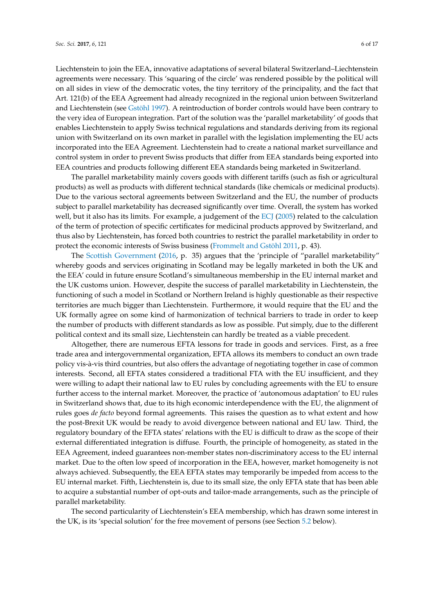Liechtenstein to join the EEA, innovative adaptations of several bilateral Switzerland–Liechtenstein agreements were necessary. This 'squaring of the circle' was rendered possible by the political will on all sides in view of the democratic votes, the tiny territory of the principality, and the fact that Art. 121(b) of the EEA Agreement had already recognized in the regional union between Switzerland and Liechtenstein (see [Gstöhl](#page-15-17) [1997\)](#page-15-17). A reintroduction of border controls would have been contrary to the very idea of European integration. Part of the solution was the 'parallel marketability' of goods that enables Liechtenstein to apply Swiss technical regulations and standards deriving from its regional union with Switzerland on its own market in parallel with the legislation implementing the EU acts incorporated into the EEA Agreement. Liechtenstein had to create a national market surveillance and control system in order to prevent Swiss products that differ from EEA standards being exported into EEA countries and products following different EEA standards being marketed in Switzerland.

The parallel marketability mainly covers goods with different tariffs (such as fish or agricultural products) as well as products with different technical standards (like chemicals or medicinal products). Due to the various sectoral agreements between Switzerland and the EU, the number of products subject to parallel marketability has decreased significantly over time. Overall, the system has worked well, but it also has its limits. For example, a judgement of the [ECJ](#page-14-10) [\(2005\)](#page-14-10) related to the calculation of the term of protection of specific certificates for medicinal products approved by Switzerland, and thus also by Liechtenstein, has forced both countries to restrict the parallel marketability in order to protect the economic interests of Swiss business [\(Frommelt and Gstöhl](#page-14-5) [2011,](#page-14-5) p. 43).

The [Scottish Government](#page-15-3) [\(2016,](#page-15-3) p. 35) argues that the 'principle of "parallel marketability" whereby goods and services originating in Scotland may be legally marketed in both the UK and the EEA' could in future ensure Scotland's simultaneous membership in the EU internal market and the UK customs union. However, despite the success of parallel marketability in Liechtenstein, the functioning of such a model in Scotland or Northern Ireland is highly questionable as their respective territories are much bigger than Liechtenstein. Furthermore, it would require that the EU and the UK formally agree on some kind of harmonization of technical barriers to trade in order to keep the number of products with different standards as low as possible. Put simply, due to the different political context and its small size, Liechtenstein can hardly be treated as a viable precedent.

Altogether, there are numerous EFTA lessons for trade in goods and services. First, as a free trade area and intergovernmental organization, EFTA allows its members to conduct an own trade policy vis-à-vis third countries, but also offers the advantage of negotiating together in case of common interests. Second, all EFTA states considered a traditional FTA with the EU insufficient, and they were willing to adapt their national law to EU rules by concluding agreements with the EU to ensure further access to the internal market. Moreover, the practice of 'autonomous adaptation' to EU rules in Switzerland shows that, due to its high economic interdependence with the EU, the alignment of rules goes *de facto* beyond formal agreements. This raises the question as to what extent and how the post-Brexit UK would be ready to avoid divergence between national and EU law. Third, the regulatory boundary of the EFTA states' relations with the EU is difficult to draw as the scope of their external differentiated integration is diffuse. Fourth, the principle of homogeneity, as stated in the EEA Agreement, indeed guarantees non-member states non-discriminatory access to the EU internal market. Due to the often low speed of incorporation in the EEA, however, market homogeneity is not always achieved. Subsequently, the EEA EFTA states may temporarily be impeded from access to the EU internal market. Fifth, Liechtenstein is, due to its small size, the only EFTA state that has been able to acquire a substantial number of opt-outs and tailor-made arrangements, such as the principle of parallel marketability.

The second particularity of Liechtenstein's EEA membership, which has drawn some interest in the UK, is its 'special solution' for the free movement of persons (see Section [5.2](#page-7-0) below).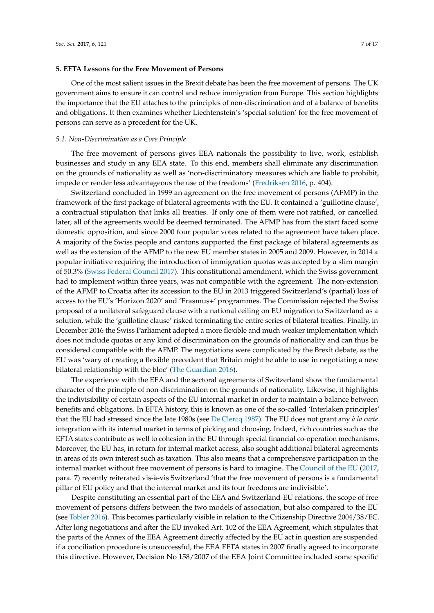# **5. EFTA Lessons for the Free Movement of Persons**

One of the most salient issues in the Brexit debate has been the free movement of persons. The UK government aims to ensure it can control and reduce immigration from Europe. This section highlights the importance that the EU attaches to the principles of non-discrimination and of a balance of benefits and obligations. It then examines whether Liechtenstein's 'special solution' for the free movement of persons can serve as a precedent for the UK.

#### *5.1. Non-Discrimination as a Core Principle*

The free movement of persons gives EEA nationals the possibility to live, work, establish businesses and study in any EEA state. To this end, members shall eliminate any discrimination on the grounds of nationality as well as 'non-discriminatory measures which are liable to prohibit, impede or render less advantageous the use of the freedoms' [\(Fredriksen](#page-14-11) [2016,](#page-14-11) p. 404).

Switzerland concluded in 1999 an agreement on the free movement of persons (AFMP) in the framework of the first package of bilateral agreements with the EU. It contained a 'guillotine clause', a contractual stipulation that links all treaties. If only one of them were not ratified, or cancelled later, all of the agreements would be deemed terminated. The AFMP has from the start faced some domestic opposition, and since 2000 four popular votes related to the agreement have taken place. A majority of the Swiss people and cantons supported the first package of bilateral agreements as well as the extension of the AFMP to the new EU member states in 2005 and 2009. However, in 2014 a popular initiative requiring the introduction of immigration quotas was accepted by a slim margin of 50.3% [\(Swiss Federal Council](#page-16-4) [2017\)](#page-16-4). This constitutional amendment, which the Swiss government had to implement within three years, was not compatible with the agreement. The non-extension of the AFMP to Croatia after its accession to the EU in 2013 triggered Switzerland's (partial) loss of access to the EU's 'Horizon 2020' and 'Erasmus+' programmes. The Commission rejected the Swiss proposal of a unilateral safeguard clause with a national ceiling on EU migration to Switzerland as a solution, while the 'guillotine clause' risked terminating the entire series of bilateral treaties. Finally, in December 2016 the Swiss Parliament adopted a more flexible and much weaker implementation which does not include quotas or any kind of discrimination on the grounds of nationality and can thus be considered compatible with the AFMP. The negotiations were complicated by the Brexit debate, as the EU was 'wary of creating a flexible precedent that Britain might be able to use in negotiating a new bilateral relationship with the bloc' [\(The Guardian](#page-16-5) [2016\)](#page-16-5).

The experience with the EEA and the sectoral agreements of Switzerland show the fundamental character of the principle of non-discrimination on the grounds of nationality. Likewise, it highlights the indivisibility of certain aspects of the EU internal market in order to maintain a balance between benefits and obligations. In EFTA history, this is known as one of the so-called 'Interlaken principles' that the EU had stressed since the late 1980s (see [De Clercq](#page-14-12) [1987\)](#page-14-12). The EU does not grant any *à la carte* integration with its internal market in terms of picking and choosing. Indeed, rich countries such as the EFTA states contribute as well to cohesion in the EU through special financial co-operation mechanisms. Moreover, the EU has, in return for internal market access, also sought additional bilateral agreements in areas of its own interest such as taxation. This also means that a comprehensive participation in the internal market without free movement of persons is hard to imagine. The [Council of the EU](#page-14-13) [\(2017,](#page-14-13) para. 7) recently reiterated vis-à-vis Switzerland 'that the free movement of persons is a fundamental pillar of EU policy and that the internal market and its four freedoms are indivisible'.

Despite constituting an essential part of the EEA and Switzerland-EU relations, the scope of free movement of persons differs between the two models of association, but also compared to the EU (see [Tobler](#page-16-6) [2016\)](#page-16-6). This becomes particularly visible in relation to the Citizenship Directive 2004/38/EC. After long negotiations and after the EU invoked Art. 102 of the EEA Agreement, which stipulates that the parts of the Annex of the EEA Agreement directly affected by the EU act in question are suspended if a conciliation procedure is unsuccessful, the EEA EFTA states in 2007 finally agreed to incorporate this directive. However, Decision No 158/2007 of the EEA Joint Committee included some specific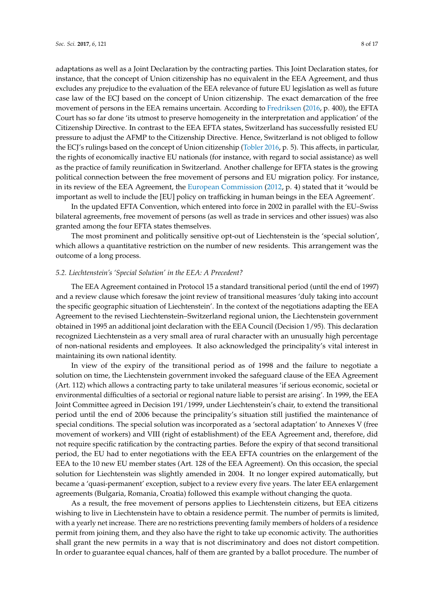adaptations as well as a Joint Declaration by the contracting parties. This Joint Declaration states, for instance, that the concept of Union citizenship has no equivalent in the EEA Agreement, and thus excludes any prejudice to the evaluation of the EEA relevance of future EU legislation as well as future case law of the ECJ based on the concept of Union citizenship. The exact demarcation of the free movement of persons in the EEA remains uncertain. According to [Fredriksen](#page-14-11) [\(2016,](#page-14-11) p. 400), the EFTA Court has so far done 'its utmost to preserve homogeneity in the interpretation and application' of the Citizenship Directive. In contrast to the EEA EFTA states, Switzerland has successfully resisted EU pressure to adjust the AFMP to the Citizenship Directive. Hence, Switzerland is not obliged to follow the ECJ's rulings based on the concept of Union citizenship [\(Tobler](#page-16-6) [2016,](#page-16-6) p. 5). This affects, in particular, the rights of economically inactive EU nationals (for instance, with regard to social assistance) as well as the practice of family reunification in Switzerland. Another challenge for EFTA states is the growing political connection between the free movement of persons and EU migration policy. For instance, in its review of the EEA Agreement, the [European Commission](#page-14-4) [\(2012,](#page-14-4) p. 4) stated that it 'would be important as well to include the [EU] policy on trafficking in human beings in the EEA Agreement'.

In the updated EFTA Convention, which entered into force in 2002 in parallel with the EU–Swiss bilateral agreements, free movement of persons (as well as trade in services and other issues) was also granted among the four EFTA states themselves.

The most prominent and politically sensitive opt-out of Liechtenstein is the 'special solution', which allows a quantitative restriction on the number of new residents. This arrangement was the outcome of a long process.

#### <span id="page-7-0"></span>*5.2. Liechtenstein's 'Special Solution' in the EEA: A Precedent?*

The EEA Agreement contained in Protocol 15 a standard transitional period (until the end of 1997) and a review clause which foresaw the joint review of transitional measures 'duly taking into account the specific geographic situation of Liechtenstein'. In the context of the negotiations adapting the EEA Agreement to the revised Liechtenstein–Switzerland regional union, the Liechtenstein government obtained in 1995 an additional joint declaration with the EEA Council (Decision 1/95). This declaration recognized Liechtenstein as a very small area of rural character with an unusually high percentage of non-national residents and employees. It also acknowledged the principality's vital interest in maintaining its own national identity.

In view of the expiry of the transitional period as of 1998 and the failure to negotiate a solution on time, the Liechtenstein government invoked the safeguard clause of the EEA Agreement (Art. 112) which allows a contracting party to take unilateral measures 'if serious economic, societal or environmental difficulties of a sectorial or regional nature liable to persist are arising'. In 1999, the EEA Joint Committee agreed in Decision 191/1999, under Liechtenstein's chair, to extend the transitional period until the end of 2006 because the principality's situation still justified the maintenance of special conditions. The special solution was incorporated as a 'sectoral adaptation' to Annexes V (free movement of workers) and VIII (right of establishment) of the EEA Agreement and, therefore, did not require specific ratification by the contracting parties. Before the expiry of that second transitional period, the EU had to enter negotiations with the EEA EFTA countries on the enlargement of the EEA to the 10 new EU member states (Art. 128 of the EEA Agreement). On this occasion, the special solution for Liechtenstein was slightly amended in 2004. It no longer expired automatically, but became a 'quasi-permanent' exception, subject to a review every five years. The later EEA enlargement agreements (Bulgaria, Romania, Croatia) followed this example without changing the quota.

As a result, the free movement of persons applies to Liechtenstein citizens, but EEA citizens wishing to live in Liechtenstein have to obtain a residence permit. The number of permits is limited, with a yearly net increase. There are no restrictions preventing family members of holders of a residence permit from joining them, and they also have the right to take up economic activity. The authorities shall grant the new permits in a way that is not discriminatory and does not distort competition. In order to guarantee equal chances, half of them are granted by a ballot procedure. The number of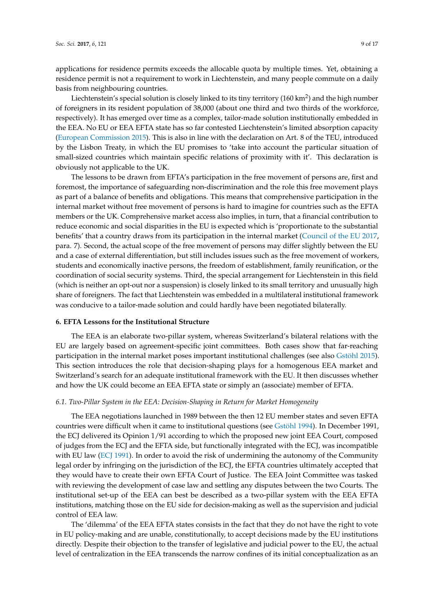applications for residence permits exceeds the allocable quota by multiple times. Yet, obtaining a residence permit is not a requirement to work in Liechtenstein, and many people commute on a daily basis from neighbouring countries.

Liechtenstein's special solution is closely linked to its tiny territory (160 km<sup>2</sup>) and the high number of foreigners in its resident population of 38,000 (about one third and two thirds of the workforce, respectively). It has emerged over time as a complex, tailor-made solution institutionally embedded in the EEA. No EU or EEA EFTA state has so far contested Liechtenstein's limited absorption capacity [\(European Commission](#page-14-14) [2015\)](#page-14-14). This is also in line with the declaration on Art. 8 of the TEU, introduced by the Lisbon Treaty, in which the EU promises to 'take into account the particular situation of small-sized countries which maintain specific relations of proximity with it'. This declaration is obviously not applicable to the UK.

The lessons to be drawn from EFTA's participation in the free movement of persons are, first and foremost, the importance of safeguarding non-discrimination and the role this free movement plays as part of a balance of benefits and obligations. This means that comprehensive participation in the internal market without free movement of persons is hard to imagine for countries such as the EFTA members or the UK. Comprehensive market access also implies, in turn, that a financial contribution to reduce economic and social disparities in the EU is expected which is 'proportionate to the substantial benefits' that a country draws from its participation in the internal market [\(Council of the EU](#page-14-13) [2017,](#page-14-13) para. 7). Second, the actual scope of the free movement of persons may differ slightly between the EU and a case of external differentiation, but still includes issues such as the free movement of workers, students and economically inactive persons, the freedom of establishment, family reunification, or the coordination of social security systems. Third, the special arrangement for Liechtenstein in this field (which is neither an opt-out nor a suspension) is closely linked to its small territory and unusually high share of foreigners. The fact that Liechtenstein was embedded in a multilateral institutional framework was conducive to a tailor-made solution and could hardly have been negotiated bilaterally.

# **6. EFTA Lessons for the Institutional Structure**

The EEA is an elaborate two-pillar system, whereas Switzerland's bilateral relations with the EU are largely based on agreement-specific joint committees. Both cases show that far-reaching participation in the internal market poses important institutional challenges (see also [Gstöhl](#page-15-8) [2015\)](#page-15-8). This section introduces the role that decision-shaping plays for a homogenous EEA market and Switzerland's search for an adequate institutional framework with the EU. It then discusses whether and how the UK could become an EEA EFTA state or simply an (associate) member of EFTA.

# *6.1. Two-Pillar System in the EEA: Decision-Shaping in Return for Market Homogeneity*

The EEA negotiations launched in 1989 between the then 12 EU member states and seven EFTA countries were difficult when it came to institutional questions (see [Gstöhl](#page-15-18) [1994\)](#page-15-18). In December 1991, the ECJ delivered its Opinion 1/91 according to which the proposed new joint EEA Court, composed of judges from the ECJ and the EFTA side, but functionally integrated with the ECJ, was incompatible with EU law [\(ECJ](#page-14-15) [1991\)](#page-14-15). In order to avoid the risk of undermining the autonomy of the Community legal order by infringing on the jurisdiction of the ECJ, the EFTA countries ultimately accepted that they would have to create their own EFTA Court of Justice. The EEA Joint Committee was tasked with reviewing the development of case law and settling any disputes between the two Courts. The institutional set-up of the EEA can best be described as a two-pillar system with the EEA EFTA institutions, matching those on the EU side for decision-making as well as the supervision and judicial control of EEA law.

The 'dilemma' of the EEA EFTA states consists in the fact that they do not have the right to vote in EU policy-making and are unable, constitutionally, to accept decisions made by the EU institutions directly. Despite their objection to the transfer of legislative and judicial power to the EU, the actual level of centralization in the EEA transcends the narrow confines of its initial conceptualization as an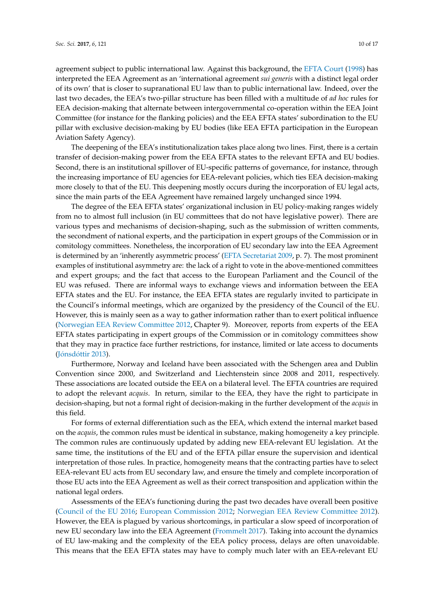agreement subject to public international law. Against this background, the [EFTA Court](#page-14-16) [\(1998\)](#page-14-16) has interpreted the EEA Agreement as an 'international agreement *sui generis* with a distinct legal order of its own' that is closer to supranational EU law than to public international law. Indeed, over the last two decades, the EEA's two-pillar structure has been filled with a multitude of *ad hoc* rules for EEA decision-making that alternate between intergovernmental co-operation within the EEA Joint Committee (for instance for the flanking policies) and the EEA EFTA states' subordination to the EU pillar with exclusive decision-making by EU bodies (like EEA EFTA participation in the European Aviation Safety Agency).

The deepening of the EEA's institutionalization takes place along two lines. First, there is a certain transfer of decision-making power from the EEA EFTA states to the relevant EFTA and EU bodies. Second, there is an institutional spillover of EU-specific patterns of governance, for instance, through the increasing importance of EU agencies for EEA-relevant policies, which ties EEA decision-making more closely to that of the EU. This deepening mostly occurs during the incorporation of EU legal acts, since the main parts of the EEA Agreement have remained largely unchanged since 1994.

The degree of the EEA EFTA states' organizational inclusion in EU policy-making ranges widely from no to almost full inclusion (in EU committees that do not have legislative power). There are various types and mechanisms of decision-shaping, such as the submission of written comments, the secondment of national experts, and the participation in expert groups of the Commission or in comitology committees. Nonetheless, the incorporation of EU secondary law into the EEA Agreement is determined by an 'inherently asymmetric process' [\(EFTA Secretariat](#page-14-2) [2009,](#page-14-2) p. 7). The most prominent examples of institutional asymmetry are: the lack of a right to vote in the above-mentioned committees and expert groups; and the fact that access to the European Parliament and the Council of the EU was refused. There are informal ways to exchange views and information between the EEA EFTA states and the EU. For instance, the EEA EFTA states are regularly invited to participate in the Council's informal meetings, which are organized by the presidency of the Council of the EU. However, this is mainly seen as a way to gather information rather than to exert political influence [\(Norwegian EEA Review Committee](#page-15-13) [2012,](#page-15-13) Chapter 9). Moreover, reports from experts of the EEA EFTA states participating in expert groups of the Commission or in comitology committees show that they may in practice face further restrictions, for instance, limited or late access to documents (Jó[nsd](#page-15-12)óttir [2013\)](#page-15-12).

Furthermore, Norway and Iceland have been associated with the Schengen area and Dublin Convention since 2000, and Switzerland and Liechtenstein since 2008 and 2011, respectively. These associations are located outside the EEA on a bilateral level. The EFTA countries are required to adopt the relevant *acquis*. In return, similar to the EEA, they have the right to participate in decision-shaping, but not a formal right of decision-making in the further development of the *acquis* in this field.

For forms of external differentiation such as the EEA, which extend the internal market based on the *acquis*, the common rules must be identical in substance, making homogeneity a key principle. The common rules are continuously updated by adding new EEA-relevant EU legislation. At the same time, the institutions of the EU and of the EFTA pillar ensure the supervision and identical interpretation of those rules. In practice, homogeneity means that the contracting parties have to select EEA-relevant EU acts from EU secondary law, and ensure the timely and complete incorporation of those EU acts into the EEA Agreement as well as their correct transposition and application within the national legal orders.

Assessments of the EEA's functioning during the past two decades have overall been positive [\(Council of the EU](#page-14-17) [2016;](#page-14-17) [European Commission](#page-14-4) [2012;](#page-14-4) [Norwegian EEA Review Committee](#page-15-13) [2012\)](#page-15-13). However, the EEA is plagued by various shortcomings, in particular a slow speed of incorporation of new EU secondary law into the EEA Agreement [\(Frommelt](#page-14-3) [2017\)](#page-14-3). Taking into account the dynamics of EU law-making and the complexity of the EEA policy process, delays are often unavoidable. This means that the EEA EFTA states may have to comply much later with an EEA-relevant EU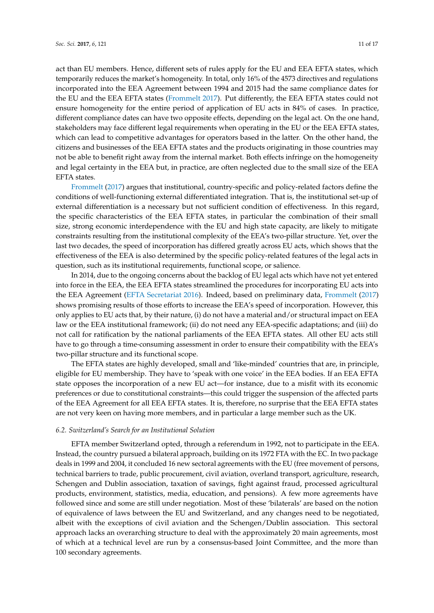act than EU members. Hence, different sets of rules apply for the EU and EEA EFTA states, which temporarily reduces the market's homogeneity. In total, only 16% of the 4573 directives and regulations incorporated into the EEA Agreement between 1994 and 2015 had the same compliance dates for the EU and the EEA EFTA states [\(Frommelt](#page-14-3) [2017\)](#page-14-3). Put differently, the EEA EFTA states could not ensure homogeneity for the entire period of application of EU acts in 84% of cases. In practice, different compliance dates can have two opposite effects, depending on the legal act. On the one hand, stakeholders may face different legal requirements when operating in the EU or the EEA EFTA states, which can lead to competitive advantages for operators based in the latter. On the other hand, the citizens and businesses of the EEA EFTA states and the products originating in those countries may not be able to benefit right away from the internal market. Both effects infringe on the homogeneity and legal certainty in the EEA but, in practice, are often neglected due to the small size of the EEA EFTA states.

[Frommelt](#page-14-3) [\(2017\)](#page-14-3) argues that institutional, country-specific and policy-related factors define the conditions of well-functioning external differentiated integration. That is, the institutional set-up of external differentiation is a necessary but not sufficient condition of effectiveness. In this regard, the specific characteristics of the EEA EFTA states, in particular the combination of their small size, strong economic interdependence with the EU and high state capacity, are likely to mitigate constraints resulting from the institutional complexity of the EEA's two-pillar structure. Yet, over the last two decades, the speed of incorporation has differed greatly across EU acts, which shows that the effectiveness of the EEA is also determined by the specific policy-related features of the legal acts in question, such as its institutional requirements, functional scope, or salience.

In 2014, due to the ongoing concerns about the backlog of EU legal acts which have not yet entered into force in the EEA, the EEA EFTA states streamlined the procedures for incorporating EU acts into the EEA Agreement [\(EFTA Secretariat](#page-14-18) [2016\)](#page-14-18). Indeed, based on preliminary data, [Frommelt](#page-14-3) [\(2017\)](#page-14-3) shows promising results of those efforts to increase the EEA's speed of incorporation. However, this only applies to EU acts that, by their nature, (i) do not have a material and/or structural impact on EEA law or the EEA institutional framework; (ii) do not need any EEA-specific adaptations; and (iii) do not call for ratification by the national parliaments of the EEA EFTA states. All other EU acts still have to go through a time-consuming assessment in order to ensure their compatibility with the EEA's two-pillar structure and its functional scope.

The EFTA states are highly developed, small and 'like-minded' countries that are, in principle, eligible for EU membership. They have to 'speak with one voice' in the EEA bodies. If an EEA EFTA state opposes the incorporation of a new EU act—for instance, due to a misfit with its economic preferences or due to constitutional constraints—this could trigger the suspension of the affected parts of the EEA Agreement for all EEA EFTA states. It is, therefore, no surprise that the EEA EFTA states are not very keen on having more members, and in particular a large member such as the UK.

# *6.2. Switzerland's Search for an Institutional Solution*

EFTA member Switzerland opted, through a referendum in 1992, not to participate in the EEA. Instead, the country pursued a bilateral approach, building on its 1972 FTA with the EC. In two package deals in 1999 and 2004, it concluded 16 new sectoral agreements with the EU (free movement of persons, technical barriers to trade, public procurement, civil aviation, overland transport, agriculture, research, Schengen and Dublin association, taxation of savings, fight against fraud, processed agricultural products, environment, statistics, media, education, and pensions). A few more agreements have followed since and some are still under negotiation. Most of these 'bilaterals' are based on the notion of equivalence of laws between the EU and Switzerland, and any changes need to be negotiated, albeit with the exceptions of civil aviation and the Schengen/Dublin association. This sectoral approach lacks an overarching structure to deal with the approximately 20 main agreements, most of which at a technical level are run by a consensus-based Joint Committee, and the more than 100 secondary agreements.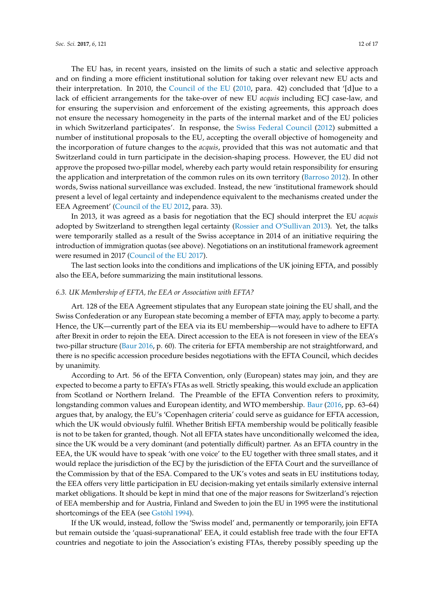The EU has, in recent years, insisted on the limits of such a static and selective approach and on finding a more efficient institutional solution for taking over relevant new EU acts and their interpretation. In 2010, the [Council of the EU](#page-13-1) [\(2010,](#page-13-1) para. 42) concluded that '[d]ue to a lack of efficient arrangements for the take-over of new EU *acquis* including ECJ case-law, and for ensuring the supervision and enforcement of the existing agreements, this approach does not ensure the necessary homogeneity in the parts of the internal market and of the EU policies in which Switzerland participates'. In response, the [Swiss Federal Council](#page-16-7) [\(2012\)](#page-16-7) submitted a number of institutional proposals to the EU, accepting the overall objective of homogeneity and the incorporation of future changes to the *acquis*, provided that this was not automatic and that Switzerland could in turn participate in the decision-shaping process. However, the EU did not approve the proposed two-pillar model, whereby each party would retain responsibility for ensuring the application and interpretation of the common rules on its own territory [\(Barroso](#page-13-2) [2012\)](#page-13-2). In other words, Swiss national surveillance was excluded. Instead, the new 'institutional framework should present a level of legal certainty and independence equivalent to the mechanisms created under the EEA Agreement' [\(Council of the EU](#page-13-3) [2012,](#page-13-3) para. 33).

In 2013, it was agreed as a basis for negotiation that the ECJ should interpret the EU *acquis* adopted by Switzerland to strengthen legal certainty [\(Rossier and O'Sullivan](#page-15-19) [2013\)](#page-15-19). Yet, the talks were temporarily stalled as a result of the Swiss acceptance in 2014 of an initiative requiring the introduction of immigration quotas (see above). Negotiations on an institutional framework agreement were resumed in 2017 [\(Council of the EU](#page-14-13) [2017\)](#page-14-13).

The last section looks into the conditions and implications of the UK joining EFTA, and possibly also the EEA, before summarizing the main institutional lessons.

#### *6.3. UK Membership of EFTA, the EEA or Association with EFTA?*

Art. 128 of the EEA Agreement stipulates that any European state joining the EU shall, and the Swiss Confederation or any European state becoming a member of EFTA may, apply to become a party. Hence, the UK—currently part of the EEA via its EU membership—would have to adhere to EFTA after Brexit in order to rejoin the EEA. Direct accession to the EEA is not foreseen in view of the EEA's two-pillar structure [\(Baur](#page-13-4) [2016,](#page-13-4) p. 60). The criteria for EFTA membership are not straightforward, and there is no specific accession procedure besides negotiations with the EFTA Council, which decides by unanimity.

According to Art. 56 of the EFTA Convention, only (European) states may join, and they are expected to become a party to EFTA's FTAs as well. Strictly speaking, this would exclude an application from Scotland or Northern Ireland. The Preamble of the EFTA Convention refers to proximity, longstanding common values and European identity, and WTO membership. [Baur](#page-13-4) [\(2016,](#page-13-4) pp. 63–64) argues that, by analogy, the EU's 'Copenhagen criteria' could serve as guidance for EFTA accession, which the UK would obviously fulfil. Whether British EFTA membership would be politically feasible is not to be taken for granted, though. Not all EFTA states have unconditionally welcomed the idea, since the UK would be a very dominant (and potentially difficult) partner. As an EFTA country in the EEA, the UK would have to speak 'with one voice' to the EU together with three small states, and it would replace the jurisdiction of the ECJ by the jurisdiction of the EFTA Court and the surveillance of the Commission by that of the ESA. Compared to the UK's votes and seats in EU institutions today, the EEA offers very little participation in EU decision-making yet entails similarly extensive internal market obligations. It should be kept in mind that one of the major reasons for Switzerland's rejection of EEA membership and for Austria, Finland and Sweden to join the EU in 1995 were the institutional shortcomings of the EEA (see [Gstöhl](#page-15-18) [1994\)](#page-15-18).

If the UK would, instead, follow the 'Swiss model' and, permanently or temporarily, join EFTA but remain outside the 'quasi-supranational' EEA, it could establish free trade with the four EFTA countries and negotiate to join the Association's existing FTAs, thereby possibly speeding up the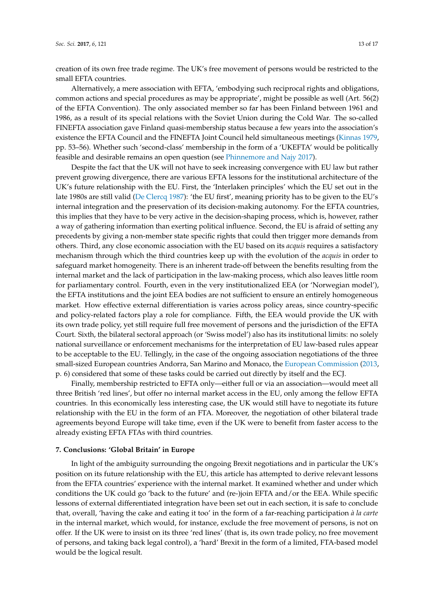creation of its own free trade regime. The UK's free movement of persons would be restricted to the small EFTA countries.

Alternatively, a mere association with EFTA, 'embodying such reciprocal rights and obligations, common actions and special procedures as may be appropriate', might be possible as well (Art. 56(2) of the EFTA Convention). The only associated member so far has been Finland between 1961 and 1986, as a result of its special relations with the Soviet Union during the Cold War. The so-called FINEFTA association gave Finland quasi-membership status because a few years into the association's existence the EFTA Council and the FINEFTA Joint Council held simultaneous meetings [\(Kinnas](#page-15-20) [1979,](#page-15-20) pp. 53–56). Whether such 'second-class' membership in the form of a 'UKEFTA' would be politically feasible and desirable remains an open question (see [Phinnemore and Najy](#page-15-21) [2017\)](#page-15-21).

Despite the fact that the UK will not have to seek increasing convergence with EU law but rather prevent growing divergence, there are various EFTA lessons for the institutional architecture of the UK's future relationship with the EU. First, the 'Interlaken principles' which the EU set out in the late 1980s are still valid [\(De Clercq](#page-14-12) [1987\)](#page-14-12): 'the EU first', meaning priority has to be given to the EU's internal integration and the preservation of its decision-making autonomy. For the EFTA countries, this implies that they have to be very active in the decision-shaping process, which is, however, rather a way of gathering information than exerting political influence. Second, the EU is afraid of setting any precedents by giving a non-member state specific rights that could then trigger more demands from others. Third, any close economic association with the EU based on its *acquis* requires a satisfactory mechanism through which the third countries keep up with the evolution of the *acquis* in order to safeguard market homogeneity. There is an inherent trade-off between the benefits resulting from the internal market and the lack of participation in the law-making process, which also leaves little room for parliamentary control. Fourth, even in the very institutionalized EEA (or 'Norwegian model'), the EFTA institutions and the joint EEA bodies are not sufficient to ensure an entirely homogeneous market. How effective external differentiation is varies across policy areas, since country-specific and policy-related factors play a role for compliance. Fifth, the EEA would provide the UK with its own trade policy, yet still require full free movement of persons and the jurisdiction of the EFTA Court. Sixth, the bilateral sectoral approach (or 'Swiss model') also has its institutional limits: no solely national surveillance or enforcement mechanisms for the interpretation of EU law-based rules appear to be acceptable to the EU. Tellingly, in the case of the ongoing association negotiations of the three small-sized European countries Andorra, San Marino and Monaco, the [European Commission](#page-14-19) [\(2013,](#page-14-19) p. 6) considered that some of these tasks could be carried out directly by itself and the ECJ.

Finally, membership restricted to EFTA only—either full or via an association—would meet all three British 'red lines', but offer no internal market access in the EU, only among the fellow EFTA countries. In this economically less interesting case, the UK would still have to negotiate its future relationship with the EU in the form of an FTA. Moreover, the negotiation of other bilateral trade agreements beyond Europe will take time, even if the UK were to benefit from faster access to the already existing EFTA FTAs with third countries.

# **7. Conclusions: 'Global Britain' in Europe**

In light of the ambiguity surrounding the ongoing Brexit negotiations and in particular the UK's position on its future relationship with the EU, this article has attempted to derive relevant lessons from the EFTA countries' experience with the internal market. It examined whether and under which conditions the UK could go 'back to the future' and (re-)join EFTA and/or the EEA. While specific lessons of external differentiated integration have been set out in each section, it is safe to conclude that, overall, 'having the cake and eating it too' in the form of a far-reaching participation *à la carte* in the internal market, which would, for instance, exclude the free movement of persons, is not on offer. If the UK were to insist on its three 'red lines' (that is, its own trade policy, no free movement of persons, and taking back legal control), a 'hard' Brexit in the form of a limited, FTA-based model would be the logical result.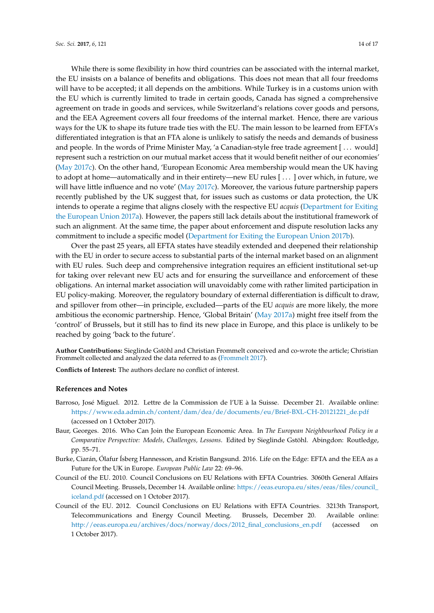While there is some flexibility in how third countries can be associated with the internal market, the EU insists on a balance of benefits and obligations. This does not mean that all four freedoms will have to be accepted; it all depends on the ambitions. While Turkey is in a customs union with the EU which is currently limited to trade in certain goods, Canada has signed a comprehensive agreement on trade in goods and services, while Switzerland's relations cover goods and persons, and the EEA Agreement covers all four freedoms of the internal market. Hence, there are various ways for the UK to shape its future trade ties with the EU. The main lesson to be learned from EFTA's differentiated integration is that an FTA alone is unlikely to satisfy the needs and demands of business and people. In the words of Prime Minister May, 'a Canadian-style free trade agreement [ . . . would] represent such a restriction on our mutual market access that it would benefit neither of our economies' [\(May](#page-15-2) [2017c\)](#page-15-2). On the other hand, 'European Economic Area membership would mean the UK having to adopt at home—automatically and in their entirety—new EU rules [ . . . ] over which, in future, we will have little influence and no vote' [\(May](#page-15-2) [2017c\)](#page-15-2). Moreover, the various future partnership papers recently published by the UK suggest that, for issues such as customs or data protection, the UK intends to operate a regime that aligns closely with the respective EU *acquis* [\(Department for Exiting](#page-14-20) [the European Union](#page-14-20) [2017a\)](#page-14-20). However, the papers still lack details about the institutional framework of such an alignment. At the same time, the paper about enforcement and dispute resolution lacks any commitment to include a specific model [\(Department for Exiting the European Union](#page-14-21) [2017b\)](#page-14-21).

Over the past 25 years, all EFTA states have steadily extended and deepened their relationship with the EU in order to secure access to substantial parts of the internal market based on an alignment with EU rules. Such deep and comprehensive integration requires an efficient institutional set-up for taking over relevant new EU acts and for ensuring the surveillance and enforcement of these obligations. An internal market association will unavoidably come with rather limited participation in EU policy-making. Moreover, the regulatory boundary of external differentiation is difficult to draw, and spillover from other—in principle, excluded—parts of the EU *acquis* are more likely, the more ambitious the economic partnership. Hence, 'Global Britain' [\(May](#page-15-6) [2017a\)](#page-15-6) might free itself from the 'control' of Brussels, but it still has to find its new place in Europe, and this place is unlikely to be reached by going 'back to the future'.

**Author Contributions:** Sieglinde Gstöhl and Christian Frommelt conceived and co-wrote the article; Christian Frommelt collected and analyzed the data referred to as [\(Frommelt](#page-14-3) [2017\)](#page-14-3).

**Conflicts of Interest:** The authors declare no conflict of interest.

#### **References and Notes**

- <span id="page-13-2"></span>Barroso, José Miguel. 2012. Lettre de la Commission de l'UE à la Suisse. December 21. Available online: [https://www.eda.admin.ch/content/dam/dea/de/documents/eu/Brief-BXL-CH-20121221\\_de.pdf](https://www.eda.admin.ch/content/dam/dea/de/documents/eu/Brief-BXL-CH-20121221_de.pdf) (accessed on 1 October 2017).
- <span id="page-13-4"></span>Baur, Georges. 2016. Who Can Join the European Economic Area. In *The European Neighbourhood Policy in a Comparative Perspective: Models, Challenges, Lessons*. Edited by Sieglinde Gstöhl. Abingdon: Routledge, pp. 55–71.
- <span id="page-13-0"></span>Burke, Ciarán, Ólafur Ísberg Hannesson, and Kristin Bangsund. 2016. Life on the Edge: EFTA and the EEA as a Future for the UK in Europe. *European Public Law* 22: 69–96.
- <span id="page-13-1"></span>Council of the EU. 2010. Council Conclusions on EU Relations with EFTA Countries. 3060th General Affairs Council Meeting. Brussels, December 14. Available online: [https://eeas.europa.eu/sites/eeas/files/council\\_](https://eeas.europa.eu/sites/eeas/files/council_iceland.pdf) [iceland.pdf](https://eeas.europa.eu/sites/eeas/files/council_iceland.pdf) (accessed on 1 October 2017).
- <span id="page-13-3"></span>Council of the EU. 2012. Council Conclusions on EU Relations with EFTA Countries. 3213th Transport, Telecommunications and Energy Council Meeting. Brussels, December 20. Available online: [http://eeas.europa.eu/archives/docs/norway/docs/2012\\_final\\_conclusions\\_en.pdf](http://eeas.europa.eu/archives/docs/norway/docs/2012_final_conclusions_en.pdf) (accessed on 1 October 2017).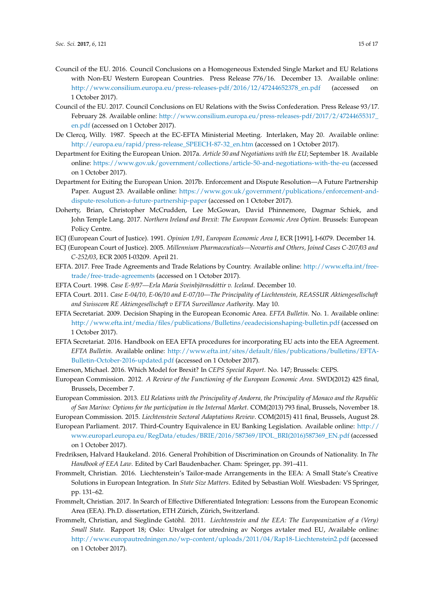- <span id="page-14-17"></span>Council of the EU. 2016. Council Conclusions on a Homogeneous Extended Single Market and EU Relations with Non-EU Western European Countries. Press Release 776/16. December 13. Available online: [http://www.consilium.europa.eu/press-releases-pdf/2016/12/47244652378\\_en.pdf](http://www.consilium.europa.eu/press-releases-pdf/2016/12/47244652378_en.pdf) (accessed on 1 October 2017).
- <span id="page-14-13"></span>Council of the EU. 2017. Council Conclusions on EU Relations with the Swiss Confederation. Press Release 93/17. February 28. Available online: [http://www.consilium.europa.eu/press-releases-pdf/2017/2/47244655317\\_](http://www.consilium.europa.eu/press-releases-pdf/2017/2/47244655317_en.pdf) [en.pdf](http://www.consilium.europa.eu/press-releases-pdf/2017/2/47244655317_en.pdf) (accessed on 1 October 2017).
- <span id="page-14-12"></span>De Clercq, Willy. 1987. Speech at the EC-EFTA Ministerial Meeting. Interlaken, May 20. Available online: [http://europa.eu/rapid/press-release\\_SPEECH-87-32\\_en.htm](http://europa.eu/rapid/press-release_SPEECH-87-32_en.htm) (accessed on 1 October 2017).
- <span id="page-14-20"></span>Department for Exiting the European Union. 2017a. *Article 50 and Negotiations with the EU*; September 18. Available online: <https://www.gov.uk/government/collections/article-50-and-negotiations-with-the-eu> (accessed on 1 October 2017).
- <span id="page-14-21"></span>Department for Exiting the European Union. 2017b. Enforcement and Dispute Resolution—A Future Partnership Paper. August 23. Available online: [https://www.gov.uk/government/publications/enforcement-and](https://www.gov.uk/government/publications/enforcement-and-dispute-resolution-a-future-partnership-paper)[dispute-resolution-a-future-partnership-paper](https://www.gov.uk/government/publications/enforcement-and-dispute-resolution-a-future-partnership-paper) (accessed on 1 October 2017).
- <span id="page-14-1"></span>Doherty, Brian, Christopher McCrudden, Lee McGowan, David Phinnemore, Dagmar Schiek, and John Temple Lang. 2017. *Northern Ireland and Brexit: The European Economic Area Option*. Brussels: European Policy Centre.
- <span id="page-14-15"></span>ECJ (European Court of Justice). 1991. *Opinion 1/91, European Economic Area I*, ECR [1991], I-6079. December 14.
- <span id="page-14-10"></span>ECJ (European Court of Justice). 2005. *Millennium Pharmaceuticals—Novartis and Others, Joined Cases C-207/03 and C-252/03*, ECR 2005 I-03209. April 21.
- <span id="page-14-6"></span>EFTA. 2017. Free Trade Agreements and Trade Relations by Country. Available online: [http://www.efta.int/free](http://www.efta.int/free-trade/free-trade-agreements)[trade/free-trade-agreements](http://www.efta.int/free-trade/free-trade-agreements) (accessed on 1 October 2017).
- <span id="page-14-16"></span>EFTA Court. 1998. *Case E-9/97—Erla María Sveinbjörnsdóttir v. Iceland*. December 10.
- <span id="page-14-7"></span>EFTA Court. 2011. *Case E-04/10, E-06/10 and E-07/10—The Principality of Liechtenstein, REASSUR Aktiengesellschaft and Swisscom RE Aktiengesellschaft v EFTA Surveillance Authority*. May 10.
- <span id="page-14-2"></span>EFTA Secretariat. 2009. Decision Shaping in the European Economic Area. *EFTA Bulletin*. No. 1. Available online: <http://www.efta.int/media/files/publications/Bulletins/eeadecisionshaping-bulletin.pdf> (accessed on 1 October 2017).
- <span id="page-14-18"></span>EFTA Secretariat. 2016. Handbook on EEA EFTA procedures for incorporating EU acts into the EEA Agreement. *EFTA Bulletin*. Available online: [http://www.efta.int/sites/default/files/publications/bulletins/EFTA-](http://www.efta.int/sites/default/files/publications/bulletins/EFTA-Bulletin-October-2016-updated.pdf)[Bulletin-October-2016-updated.pdf](http://www.efta.int/sites/default/files/publications/bulletins/EFTA-Bulletin-October-2016-updated.pdf) (accessed on 1 October 2017).
- <span id="page-14-0"></span>Emerson, Michael. 2016. Which Model for Brexit? In *CEPS Special Report*. No. 147; Brussels: CEPS.
- <span id="page-14-4"></span>European Commission. 2012. *A Review of the Functioning of the European Economic Area*. SWD(2012) 425 final, Brussels, December 7.
- <span id="page-14-19"></span>European Commission. 2013. *EU Relations with the Principality of Andorra, the Principality of Monaco and the Republic of San Marino: Options for the participation in the Internal Market*. COM(2013) 793 final, Brussels, November 18.

<span id="page-14-14"></span>European Commission. 2015. *Liechtenstein Sectoral Adaptations Review*. COM(2015) 411 final, Brussels, August 28.

- <span id="page-14-8"></span>European Parliament. 2017. Third-Country Equivalence in EU Banking Legislation. Available online: [http://](http://www.europarl.europa.eu/RegData/etudes/BRIE/2016/587369/IPOL_BRI(2016)587369_EN.pdf) [www.europarl.europa.eu/RegData/etudes/BRIE/2016/587369/IPOL\\_BRI\(2016\)587369\\_EN.pdf](http://www.europarl.europa.eu/RegData/etudes/BRIE/2016/587369/IPOL_BRI(2016)587369_EN.pdf) (accessed on 1 October 2017).
- <span id="page-14-11"></span>Fredriksen, Halvard Haukeland. 2016. General Prohibition of Discrimination on Grounds of Nationality. In *The Handbook of EEA Law*. Edited by Carl Baudenbacher. Cham: Springer, pp. 391–411.
- <span id="page-14-9"></span>Frommelt, Christian. 2016. Liechtenstein's Tailor-made Arrangements in the EEA: A Small State's Creative Solutions in European Integration. In *State Size Matters*. Edited by Sebastian Wolf. Wiesbaden: VS Springer, pp. 131–62.
- <span id="page-14-3"></span>Frommelt, Christian. 2017. In Search of Effective Differentiated Integration: Lessons from the European Economic Area (EEA). Ph.D. dissertation, ETH Zürich, Zürich, Switzerland.
- <span id="page-14-5"></span>Frommelt, Christian, and Sieglinde Gstöhl. 2011. *Liechtenstein and the EEA: The Europeanization of a (Very) Small State*. Rapport 18; Oslo: Utvalget for utredning av Norges avtaler med EU, Available online: <http://www.europautredningen.no/wp-content/uploads/2011/04/Rap18-Liechtenstein2.pdf> (accessed on 1 October 2017).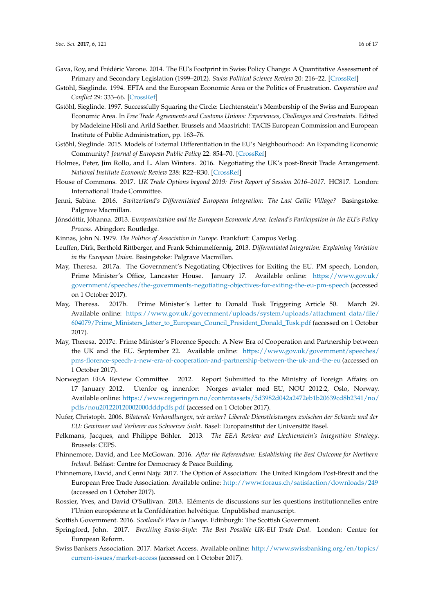- <span id="page-15-11"></span>Gava, Roy, and Frédéric Varone. 2014. The EU's Footprint in Swiss Policy Change: A Quantitative Assessment of Primary and Secondary Legislation (1999–2012). *Swiss Political Science Review* 20: 216–22. [\[CrossRef\]](http://dx.doi.org/10.1111/spsr.12099)
- <span id="page-15-18"></span>Gstöhl, Sieglinde. 1994. EFTA and the European Economic Area or the Politics of Frustration. *Cooperation and Conflict* 29: 333–66. [\[CrossRef\]](http://dx.doi.org/10.1177/0010836794029004002)
- <span id="page-15-17"></span>Gstöhl, Sieglinde. 1997. Successfully Squaring the Circle: Liechtenstein's Membership of the Swiss and European Economic Area. In *Free Trade Agreements and Customs Unions: Experiences, Challenges and Constraints*. Edited by Madeleine Hösli and Arild Saether. Brussels and Maastricht: TACIS European Commission and European Institute of Public Administration, pp. 163–76.
- <span id="page-15-8"></span>Gstöhl, Sieglinde. 2015. Models of External Differentiation in the EU's Neighbourhood: An Expanding Economic Community? *Journal of European Public Policy* 22: 854–70. [\[CrossRef\]](http://dx.doi.org/10.1080/13501763.2015.1020834)
- <span id="page-15-14"></span>Holmes, Peter, Jim Rollo, and L. Alan Winters. 2016. Negotiating the UK's post-Brexit Trade Arrangement. *National Institute Economic Review* 238: R22–R30. [\[CrossRef\]](http://dx.doi.org/10.1177/002795011623800112)
- <span id="page-15-4"></span>House of Commons. 2017. *UK Trade Options beyond 2019: First Report of Session 2016–2017*. HC817. London: International Trade Committee.
- <span id="page-15-10"></span>Jenni, Sabine. 2016. *Switzerland's Differentiated European Integration: The Last Gallic Village?* Basingstoke: Palgrave Macmillan.
- <span id="page-15-12"></span>Jónsdóttir, Jóhanna. 2013. *Europeanization and the European Economic Area: Iceland's Participation in the EU's Policy Process*. Abingdon: Routledge.
- <span id="page-15-20"></span><span id="page-15-7"></span>Kinnas, John N. 1979. *The Politics of Association in Europe*. Frankfurt: Campus Verlag.
- Leuffen, Dirk, Berthold Rittberger, and Frank Schimmelfennig. 2013. *Differentiated Integration: Explaining Variation in the European Union*. Basingstoke: Palgrave Macmillan.
- <span id="page-15-6"></span>May, Theresa. 2017a. The Government's Negotiating Objectives for Exiting the EU. PM speech, London, Prime Minister's Office, Lancaster House. January 17. Available online: [https://www.gov.uk/](https://www.gov.uk/government/speeches/the-governments-negotiating-objectives-for-exiting-the-eu-pm-speech) [government/speeches/the-governments-negotiating-objectives-for-exiting-the-eu-pm-speech](https://www.gov.uk/government/speeches/the-governments-negotiating-objectives-for-exiting-the-eu-pm-speech) (accessed on 1 October 2017).
- <span id="page-15-5"></span>May, Theresa. 2017b. Prime Minister's Letter to Donald Tusk Triggering Article 50. March 29. Available online: [https://www.gov.uk/government/uploads/system/uploads/attachment\\_data/file/](https://www.gov.uk/government/uploads/system/uploads/attachment_data/file/604079/Prime_Ministers_letter_to_European_Council_President_Donald_Tusk.pdf) [604079/Prime\\_Ministers\\_letter\\_to\\_European\\_Council\\_President\\_Donald\\_Tusk.pdf](https://www.gov.uk/government/uploads/system/uploads/attachment_data/file/604079/Prime_Ministers_letter_to_European_Council_President_Donald_Tusk.pdf) (accessed on 1 October 2017).
- <span id="page-15-2"></span>May, Theresa. 2017c. Prime Minister's Florence Speech: A New Era of Cooperation and Partnership between the UK and the EU. September 22. Available online: [https://www.gov.uk/government/speeches/](https://www.gov.uk/government/speeches/pms-florence-speech-a-new-era-of-cooperation-and-partnership-between-the-uk-and-the-eu) [pms-florence-speech-a-new-era-of-cooperation-and-partnership-between-the-uk-and-the-eu](https://www.gov.uk/government/speeches/pms-florence-speech-a-new-era-of-cooperation-and-partnership-between-the-uk-and-the-eu) (accessed on 1 October 2017).
- <span id="page-15-13"></span>Norwegian EEA Review Committee. 2012. Report Submitted to the Ministry of Foreign Affairs on 17 January 2012. Utenfor og innenfor: Norges avtaler med EU, NOU 2012:2, Oslo, Norway. Available online: [https://www.regjeringen.no/contentassets/5d3982d042a2472eb1b20639cd8b2341/no/](https://www.regjeringen.no/contentassets/5d3982d042a2472eb1b20639cd8b2341/no/pdfs/nou201220120002000dddpdfs.pdf) [pdfs/nou201220120002000dddpdfs.pdf](https://www.regjeringen.no/contentassets/5d3982d042a2472eb1b20639cd8b2341/no/pdfs/nou201220120002000dddpdfs.pdf) (accessed on 1 October 2017).
- <span id="page-15-15"></span>Nufer, Christoph. 2006. *Bilaterale Verhandlungen, wie weiter? Liberale Dienstleistungen zwischen der Schweiz und der EU: Gewinner und Verlierer aus Schweizer Sicht*. Basel: Europainstitut der Universität Basel.
- <span id="page-15-9"></span>Pelkmans, Jacques, and Philippe Böhler. 2013. *The EEA Review and Liechtenstein's Integration Strategy*. Brussels: CEPS.
- <span id="page-15-0"></span>Phinnemore, David, and Lee McGowan. 2016. *After the Referendum: Establishing the Best Outcome for Northern Ireland*. Belfast: Centre for Democracy & Peace Building.
- <span id="page-15-21"></span>Phinnemore, David, and Cenni Najy. 2017. The Option of Association: The United Kingdom Post-Brexit and the European Free Trade Association. Available online: <http://www.foraus.ch/satisfaction/downloads/249> (accessed on 1 October 2017).
- <span id="page-15-19"></span>Rossier, Yves, and David O'Sullivan. 2013. Eléments de discussions sur les questions institutionnelles entre l'Union européenne et la Confédération helvétique. Unpublished manuscript.
- <span id="page-15-3"></span>Scottish Government. 2016. *Scotland's Place in Europe*. Edinburgh: The Scottish Government.
- <span id="page-15-1"></span>Springford, John. 2017. *Brexiting Swiss-Style: The Best Possible UK-EU Trade Deal*. London: Centre for European Reform.
- <span id="page-15-16"></span>Swiss Bankers Association. 2017. Market Access. Available online: [http://www.swissbanking.org/en/topics/](http://www.swissbanking.org/en/topics/current-issues/market-access) [current-issues/market-access](http://www.swissbanking.org/en/topics/current-issues/market-access) (accessed on 1 October 2017).